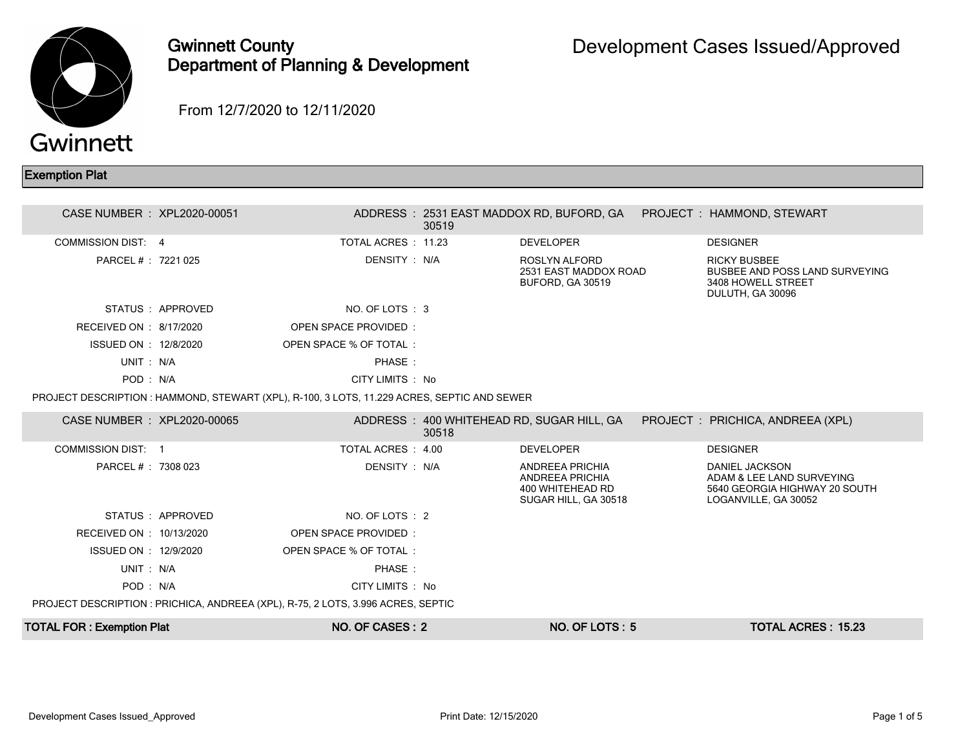

## Gwinnett County Department of Planning & Development

From 12/7/2020 to 12/11/2020

## Exemption Plat

| CASE NUMBER : XPL2020-00051      |                                                                                             |                        | 30519 |                                                                                |                                                                                                             |
|----------------------------------|---------------------------------------------------------------------------------------------|------------------------|-------|--------------------------------------------------------------------------------|-------------------------------------------------------------------------------------------------------------|
| <b>COMMISSION DIST: 4</b>        |                                                                                             | TOTAL ACRES : 11.23    |       | <b>DEVELOPER</b>                                                               | <b>DESIGNER</b>                                                                                             |
| PARCEL # : 7221 025              |                                                                                             | DENSITY: N/A           |       | ROSLYN ALFORD<br>2531 EAST MADDOX ROAD<br><b>BUFORD, GA 30519</b>              | <b>RICKY BUSBEE</b><br><b>BUSBEE AND POSS LAND SURVEYING</b><br>3408 HOWELL STREET<br>DULUTH, GA 30096      |
|                                  | STATUS : APPROVED                                                                           | NO. OF LOTS : 3        |       |                                                                                |                                                                                                             |
| RECEIVED ON : 8/17/2020          |                                                                                             | OPEN SPACE PROVIDED:   |       |                                                                                |                                                                                                             |
| ISSUED ON : 12/8/2020            |                                                                                             | OPEN SPACE % OF TOTAL: |       |                                                                                |                                                                                                             |
| UNIT: N/A                        |                                                                                             | PHASE:                 |       |                                                                                |                                                                                                             |
| POD: N/A                         |                                                                                             | CITY LIMITS : No       |       |                                                                                |                                                                                                             |
|                                  | PROJECT DESCRIPTION : HAMMOND, STEWART (XPL), R-100, 3 LOTS, 11.229 ACRES, SEPTIC AND SEWER |                        |       |                                                                                |                                                                                                             |
| CASE NUMBER : XPL2020-00065      |                                                                                             |                        | 30518 | ADDRESS: 400 WHITEHEAD RD, SUGAR HILL, GA                                      | PROJECT : PRICHICA, ANDREEA (XPL)                                                                           |
| <b>COMMISSION DIST: 1</b>        |                                                                                             | TOTAL ACRES : 4.00     |       | <b>DEVELOPER</b>                                                               | <b>DESIGNER</b>                                                                                             |
| PARCEL #: 7308 023               |                                                                                             | DENSITY: N/A           |       | ANDREEA PRICHIA<br>ANDREEA PRICHIA<br>400 WHITEHEAD RD<br>SUGAR HILL, GA 30518 | <b>DANIEL JACKSON</b><br>ADAM & LEE LAND SURVEYING<br>5640 GEORGIA HIGHWAY 20 SOUTH<br>LOGANVILLE, GA 30052 |
|                                  | STATUS: APPROVED                                                                            | NO. OF LOTS : 2        |       |                                                                                |                                                                                                             |
| RECEIVED ON : 10/13/2020         |                                                                                             | OPEN SPACE PROVIDED:   |       |                                                                                |                                                                                                             |
| ISSUED ON : 12/9/2020            |                                                                                             | OPEN SPACE % OF TOTAL: |       |                                                                                |                                                                                                             |
| UNIT: N/A                        |                                                                                             | PHASE:                 |       |                                                                                |                                                                                                             |
| POD: N/A                         |                                                                                             | CITY LIMITS : No       |       |                                                                                |                                                                                                             |
|                                  | PROJECT DESCRIPTION : PRICHICA, ANDREEA (XPL), R-75, 2 LOTS, 3.996 ACRES, SEPTIC            |                        |       |                                                                                |                                                                                                             |
| <b>TOTAL FOR: Exemption Plat</b> |                                                                                             | NO. OF CASES: 2        |       | NO. OF LOTS: 5                                                                 | <b>TOTAL ACRES: 15.23</b>                                                                                   |
|                                  |                                                                                             |                        |       |                                                                                |                                                                                                             |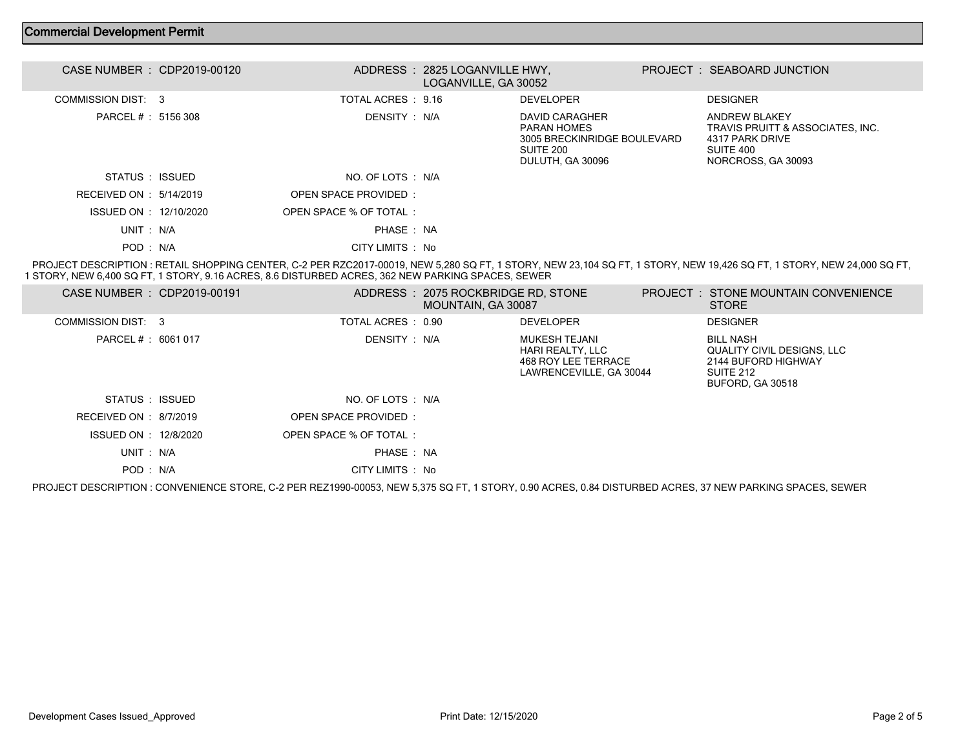## Commercial Development Permit

| CASE NUMBER : CDP2019-00120 |                        | ADDRESS: 2825 LOGANVILLE HWY.<br>LOGANVILLE, GA 30052 |                                                                                               | PROJECT: SEABOARD JUNCTION                                                                              |
|-----------------------------|------------------------|-------------------------------------------------------|-----------------------------------------------------------------------------------------------|---------------------------------------------------------------------------------------------------------|
| COMMISSION DIST: 3          | TOTAL ACRES : 9.16     |                                                       | <b>DEVELOPER</b>                                                                              | <b>DESIGNER</b>                                                                                         |
| PARCEL # : 5156 308         | DENSITY : N/A          |                                                       | DAVID CARAGHER<br>PARAN HOMES<br>3005 BRECKINRIDGE BOULEVARD<br>SUITE 200<br>DULUTH, GA 30096 | ANDREW BLAKEY<br>TRAVIS PRUITT & ASSOCIATES, INC.<br>4317 PARK DRIVE<br>SUITE 400<br>NORCROSS, GA 30093 |
| STATUS : ISSUED             | NO. OF LOTS : N/A      |                                                       |                                                                                               |                                                                                                         |
| RECEIVED ON : $5/14/2019$   | OPEN SPACE PROVIDED:   |                                                       |                                                                                               |                                                                                                         |
| ISSUED ON : 12/10/2020      | OPEN SPACE % OF TOTAL: |                                                       |                                                                                               |                                                                                                         |
| UNIT: N/A                   | PHASE: NA              |                                                       |                                                                                               |                                                                                                         |
| POD: N/A                    | CITY LIMITS : No       |                                                       |                                                                                               |                                                                                                         |

 PROJECT DESCRIPTION : RETAIL SHOPPING CENTER, C-2 PER RZC2017-00019, NEW 5,280 SQ FT, 1 STORY, NEW 23,104 SQ FT, 1 STORY, NEW 19,426 SQ FT, 1 STORY, NEW 24,000 SQ FT, 1 STORY, NEW 6,400 SQ FT, 1 STORY, 9.16 ACRES, 8.6 DISTURBED ACRES, 362 NEW PARKING SPACES, SEWER

| CASE NUMBER : CDP2019-00191 |                        | ADDRESS: 2075 ROCKBRIDGE RD, STONE<br>MOUNTAIN, GA 30087 |                                                                                     | <b>PROJECT : STONE MOUNTAIN CONVENIENCE</b><br>STORE                                                   |
|-----------------------------|------------------------|----------------------------------------------------------|-------------------------------------------------------------------------------------|--------------------------------------------------------------------------------------------------------|
| COMMISSION DIST: 3          | TOTAL ACRES : 0.90     |                                                          | <b>DEVELOPER</b>                                                                    | <b>DESIGNER</b>                                                                                        |
| PARCEL #: 6061 017          | DENSITY : N/A          |                                                          | MUKESH TEJANI<br>HARI REALTY, LLC<br>468 ROY LEE TERRACE<br>LAWRENCEVILLE, GA 30044 | <b>BILL NASH</b><br>QUALITY CIVIL DESIGNS, LLC<br>2144 BUFORD HIGHWAY<br>SUITE 212<br>BUFORD, GA 30518 |
| STATUS : ISSUED             | NO. OF LOTS : N/A      |                                                          |                                                                                     |                                                                                                        |
| RECEIVED ON : $8/7/2019$    | OPEN SPACE PROVIDED:   |                                                          |                                                                                     |                                                                                                        |
| ISSUED ON : 12/8/2020       | OPEN SPACE % OF TOTAL: |                                                          |                                                                                     |                                                                                                        |
| UNIT: N/A                   | PHASE: NA              |                                                          |                                                                                     |                                                                                                        |
| POD: N/A                    | CITY LIMITS : No       |                                                          |                                                                                     |                                                                                                        |
|                             |                        |                                                          |                                                                                     |                                                                                                        |

PROJECT DESCRIPTION : CONVENIENCE STORE, C-2 PER REZ1990-00053, NEW 5,375 SQ FT, 1 STORY, 0.90 ACRES, 0.84 DISTURBED ACRES, 37 NEW PARKING SPACES, SEWER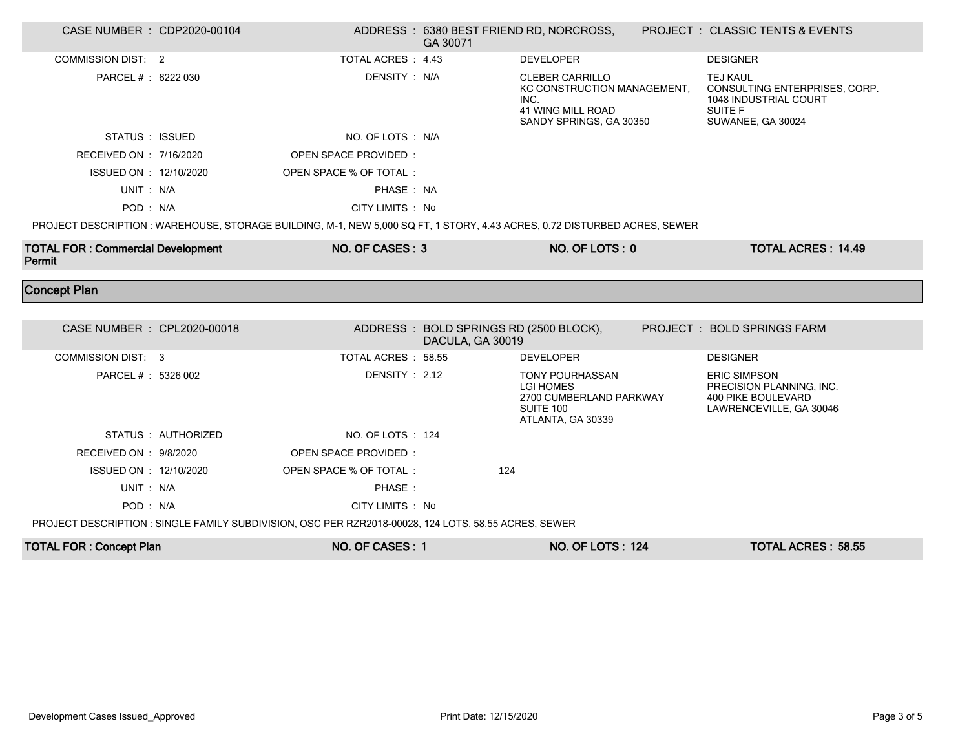| CASE NUMBER : CDP2020-00104                        |                     |                                                                                                                          | GA 30071                                                   | ADDRESS: 6380 BEST FRIEND RD, NORCROSS,                                                                              | <b>PROJECT : CLASSIC TENTS &amp; EVENTS</b>                                                               |
|----------------------------------------------------|---------------------|--------------------------------------------------------------------------------------------------------------------------|------------------------------------------------------------|----------------------------------------------------------------------------------------------------------------------|-----------------------------------------------------------------------------------------------------------|
| <b>COMMISSION DIST: 2</b>                          |                     | TOTAL ACRES : 4.43                                                                                                       |                                                            | <b>DEVELOPER</b>                                                                                                     | <b>DESIGNER</b>                                                                                           |
| PARCEL #: 6222 030                                 |                     | DENSITY: N/A                                                                                                             |                                                            | <b>CLEBER CARRILLO</b><br>KC CONSTRUCTION MANAGEMENT,<br>INC.<br><b>41 WING MILL ROAD</b><br>SANDY SPRINGS, GA 30350 | <b>TEJ KAUL</b><br>CONSULTING ENTERPRISES, CORP.<br>1048 INDUSTRIAL COURT<br>SUITE F<br>SUWANEE, GA 30024 |
| STATUS : ISSUED                                    |                     | NO. OF LOTS : N/A                                                                                                        |                                                            |                                                                                                                      |                                                                                                           |
| RECEIVED ON : 7/16/2020                            |                     | OPEN SPACE PROVIDED:                                                                                                     |                                                            |                                                                                                                      |                                                                                                           |
| ISSUED ON : 12/10/2020                             |                     | OPEN SPACE % OF TOTAL:                                                                                                   |                                                            |                                                                                                                      |                                                                                                           |
| UNIT: N/A                                          |                     | PHASE : NA                                                                                                               |                                                            |                                                                                                                      |                                                                                                           |
| POD: N/A                                           |                     | CITY LIMITS : No                                                                                                         |                                                            |                                                                                                                      |                                                                                                           |
|                                                    |                     | PROJECT DESCRIPTION: WAREHOUSE, STORAGE BUILDING, M-1, NEW 5,000 SQ FT, 1 STORY, 4.43 ACRES, 0.72 DISTURBED ACRES, SEWER |                                                            |                                                                                                                      |                                                                                                           |
| <b>TOTAL FOR: Commercial Development</b><br>Permit |                     | NO. OF CASES: 3                                                                                                          |                                                            | NO. OF LOTS: 0                                                                                                       | <b>TOTAL ACRES: 14.49</b>                                                                                 |
| <b>Concept Plan</b>                                |                     |                                                                                                                          |                                                            |                                                                                                                      |                                                                                                           |
|                                                    |                     |                                                                                                                          |                                                            |                                                                                                                      |                                                                                                           |
| CASE NUMBER : CPL2020-00018                        |                     |                                                                                                                          | ADDRESS: BOLD SPRINGS RD (2500 BLOCK),<br>DACULA, GA 30019 |                                                                                                                      | PROJECT : BOLD SPRINGS FARM                                                                               |
| <b>COMMISSION DIST: 3</b>                          |                     | TOTAL ACRES : 58.55                                                                                                      |                                                            | <b>DEVELOPER</b>                                                                                                     | <b>DESIGNER</b>                                                                                           |
| PARCEL # : 5326 002                                |                     | DENSITY: 2.12                                                                                                            |                                                            | <b>TONY POURHASSAN</b><br><b>LGI HOMES</b><br>2700 CUMBERLAND PARKWAY<br><b>SUITE 100</b><br>ATLANTA, GA 30339       | <b>ERIC SIMPSON</b><br>PRECISION PLANNING, INC.<br><b>400 PIKE BOULEVARD</b><br>LAWRENCEVILLE, GA 30046   |
|                                                    | STATUS : AUTHORIZED | NO. OF LOTS : 124                                                                                                        |                                                            |                                                                                                                      |                                                                                                           |
| RECEIVED ON : 9/8/2020                             |                     |                                                                                                                          |                                                            |                                                                                                                      |                                                                                                           |
|                                                    |                     | <b>OPEN SPACE PROVIDED:</b>                                                                                              |                                                            |                                                                                                                      |                                                                                                           |
| ISSUED ON : 12/10/2020                             |                     | OPEN SPACE % OF TOTAL:                                                                                                   | 124                                                        |                                                                                                                      |                                                                                                           |
| UNIT: N/A                                          |                     | PHASE:                                                                                                                   |                                                            |                                                                                                                      |                                                                                                           |
| POD: N/A                                           |                     | CITY LIMITS : No                                                                                                         |                                                            |                                                                                                                      |                                                                                                           |
|                                                    |                     | PROJECT DESCRIPTION : SINGLE FAMILY SUBDIVISION, OSC PER RZR2018-00028, 124 LOTS, 58.55 ACRES, SEWER                     |                                                            |                                                                                                                      |                                                                                                           |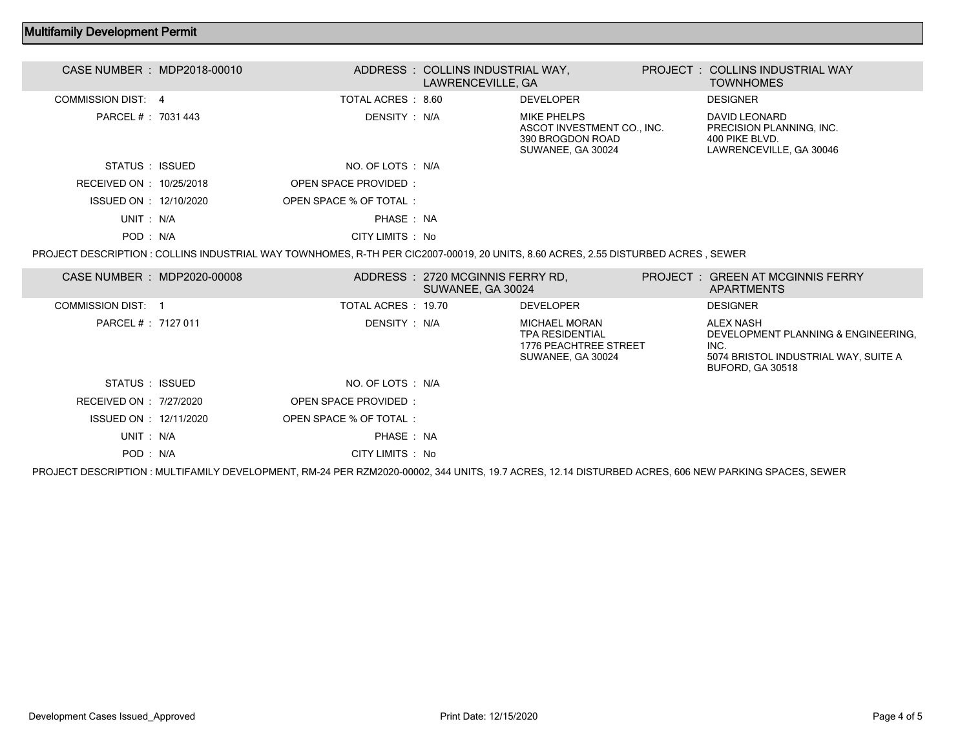## Multifamily Development Permit

| CASE NUMBER : MDP2018-00010 |                        | ADDRESS : COLLINS INDUSTRIAL WAY,<br>LAWRENCEVILLE, GA |                                                                                    | PROJECT: COLLINS INDUSTRIAL WAY<br><b>TOWNHOMES</b>                                    |  |
|-----------------------------|------------------------|--------------------------------------------------------|------------------------------------------------------------------------------------|----------------------------------------------------------------------------------------|--|
| COMMISSION DIST: 4          | TOTAL ACRES : 8.60     |                                                        | <b>DEVELOPER</b>                                                                   | <b>DESIGNER</b>                                                                        |  |
| PARCEL # : 7031 443         | DENSITY : N/A          |                                                        | MIKE PHELPS<br>ASCOT INVESTMENT CO., INC.<br>390 BROGDON ROAD<br>SUWANEE, GA 30024 | DAVID LEONARD<br>PRECISION PLANNING. INC.<br>400 PIKE BLVD.<br>LAWRENCEVILLE, GA 30046 |  |
| STATUS : ISSUED             | NO. OF LOTS : N/A      |                                                        |                                                                                    |                                                                                        |  |
| RECEIVED ON : 10/25/2018    | OPEN SPACE PROVIDED:   |                                                        |                                                                                    |                                                                                        |  |
| ISSUED ON : 12/10/2020      | OPEN SPACE % OF TOTAL: |                                                        |                                                                                    |                                                                                        |  |
| UNIT: N/A                   | PHASE: NA              |                                                        |                                                                                    |                                                                                        |  |
| POD: N/A                    | CITY LIMITS : No       |                                                        |                                                                                    |                                                                                        |  |
|                             |                        |                                                        |                                                                                    |                                                                                        |  |

PROJECT DESCRIPTION : COLLINS INDUSTRIAL WAY TOWNHOMES, R-TH PER CIC2007-00019, 20 UNITS, 8.60 ACRES, 2.55 DISTURBED ACRES , SEWER

| CASE NUMBER : MDP2020-00008 |                        | ADDRESS : 2720 MCGINNIS FERRY RD.<br>SUWANEE, GA 30024 |                                                                                       | PROJECT: GREEN AT MCGINNIS FERRY<br><b>APARTMENTS</b>                                                                                               |
|-----------------------------|------------------------|--------------------------------------------------------|---------------------------------------------------------------------------------------|-----------------------------------------------------------------------------------------------------------------------------------------------------|
| <b>COMMISSION DIST: 1</b>   | TOTAL ACRES: 19.70     |                                                        | <b>DEVELOPER</b>                                                                      | <b>DESIGNER</b>                                                                                                                                     |
| PARCEL # : 7127 011         | DENSITY : N/A          |                                                        | MICHAEL MORAN<br><b>TPA RESIDENTIAL</b><br>1776 PEACHTREE STREET<br>SUWANEE, GA 30024 | <b>ALEX NASH</b><br>DEVELOPMENT PLANNING & ENGINEERING.<br>INC.<br>5074 BRISTOL INDUSTRIAL WAY, SUITE A<br><b>BUFORD, GA 30518</b>                  |
| STATUS : ISSUED             | NO. OF LOTS : N/A      |                                                        |                                                                                       |                                                                                                                                                     |
| RECEIVED ON : 7/27/2020     | OPEN SPACE PROVIDED:   |                                                        |                                                                                       |                                                                                                                                                     |
| ISSUED ON : 12/11/2020      | OPEN SPACE % OF TOTAL: |                                                        |                                                                                       |                                                                                                                                                     |
| UNIT: N/A                   | PHASE: NA              |                                                        |                                                                                       |                                                                                                                                                     |
| POD: N/A                    | CITY LIMITS : No       |                                                        |                                                                                       |                                                                                                                                                     |
|                             |                        |                                                        |                                                                                       | PROJECT DESCRIPTION : MULTIFAMILY DEVELOPMENT, RM-24 PER RZM2020-00002, 344 UNITS, 19.7 ACRES, 12.14 DISTURBED ACRES, 606 NEW PARKING SPACES, SEWER |